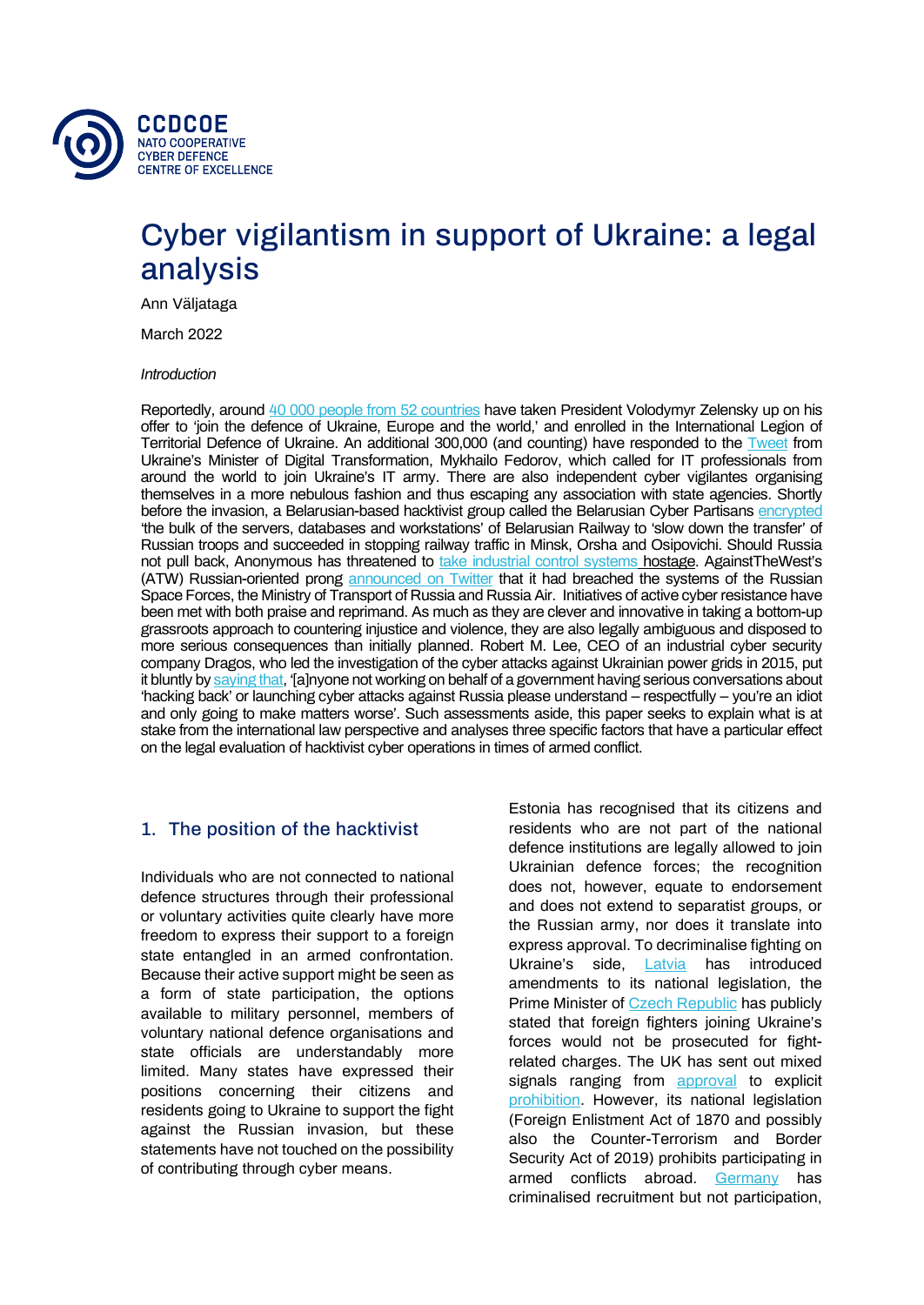

# Cyber vigilantism in support of Ukraine: a legal analysis

Ann Väljataga

March 2022

*Introduction*

Reportedly, around [40 000 people from 52 countries](https://time.com/6155670/foreign-fighters-ukraine-europe/) have taken President Volodymyr Zelensky up on his offer to 'join the defence of Ukraine, Europe and the world,' and enrolled in the International Legion of Territorial Defence of Ukraine. An additional 300,000 (and counting) have responded to the [Tweet](http://twitter.com/FedorovMykhailo/status/1497642156076511233) from Ukraine's Minister of Digital Transformation, Mykhailo Fedorov, which called for IT professionals from around the world to join Ukraine's IT army. There are also independent cyber vigilantes organising themselves in a more nebulous fashion and thus escaping any association with state agencies. Shortly before the invasion, a Belarusian-based hacktivist group called the Belarusian Cyber Partisans [encrypted](https://twitter.com/cpartisans/status/1485618881557315588) 'the bulk of the servers, databases and workstations' of Belarusian Railway to 'slow down the transfer' of Russian troops and succeeded in stopping railway traffic in Minsk, Orsha and Osipovichi. Should Russia not pull back, Anonymous has threatened to [take industrial control systems](https://twitter.com/YourAnonTV/status/1493718462207832065) hostage. AgainstTheWest's (ATW) Russian-oriented prong [announced on Twitter](https://twitter.com/AgainstTheWest_) that it had breached the systems of the Russian Space Forces, the Ministry of Transport of Russia and Russia Air. Initiatives of active cyber resistance have been met with both praise and reprimand. As much as they are clever and innovative in taking a bottom-up grassroots approach to countering injustice and violence, they are also legally ambiguous and disposed to more serious consequences than initially planned. Robert M. Lee, CEO of an industrial cyber security company Dragos, who led the investigation of the cyber attacks against Ukrainian power grids in 2015, put it bluntly b[y saying that,](https://twitter.com/RobertMLee/status/1497298806580207624) '[a]nyone not working on behalf of a government having serious conversations about 'hacking back' or launching cyber attacks against Russia please understand – respectfully – you're an idiot and only going to make matters worse'. Such assessments aside, this paper seeks to explain what is at stake from the international law perspective and analyses three specific factors that have a particular effect on the legal evaluation of hacktivist cyber operations in times of armed conflict.

## 1. The position of the hacktivist

Individuals who are not connected to national defence structures through their professional or voluntary activities quite clearly have more freedom to express their support to a foreign state entangled in an armed confrontation. Because their active support might be seen as a form of state participation, the options available to military personnel, members of voluntary national defence organisations and state officials are understandably more limited. Many states have expressed their positions concerning their citizens and residents going to Ukraine to support the fight against the Russian invasion, but these statements have not touched on the possibility of contributing through cyber means.

Estonia has recognised that its citizens and residents who are not part of the national defence institutions are legally allowed to join Ukrainian defence forces; the recognition does not, however, equate to endorsement and does not extend to separatist groups, or the Russian army, nor does it translate into express approval. To decriminalise fighting on Ukraine's side, [Latvia](https://www.baltictimes.com/saeima_supports_amendments_allowing_latvian_citizens_to_fight_on_ukrainian_side_as_volunteers/) has introduced amendments to its national legislation, the Prime Minister of **[Czech Republic](https://rmx.news/czech-republic/czech-fighters-helping-to-defend-ukraine-will-be-guaranteed-impunity-czech-pm-confirms/)** has publicly stated that foreign fighters joining Ukraine's forces would not be prosecuted for fightrelated charges. The UK has sent out mixed signals ranging from [approval](https://www.bbc.com/news/uk-60544838) to explicit [prohibition.](https://www.theguardian.com/uk-news/2022/mar/06/britons-ukraine-fight-defence-chief-contradicts-liz-truss) However, its national legislation (Foreign Enlistment Act of 1870 and possibly also the Counter-Terrorism and Border Security Act of 2019) prohibits participating in armed conflicts abroad. [Germany](https://www.tagesspiegel.de/politik/nach-aufruf-fuer-internationale-legion-deutsche-duerften-an-ukraine-krieg-teilnehmen-auch-fuer-russland/28121508.html) has criminalised recruitment but not participation,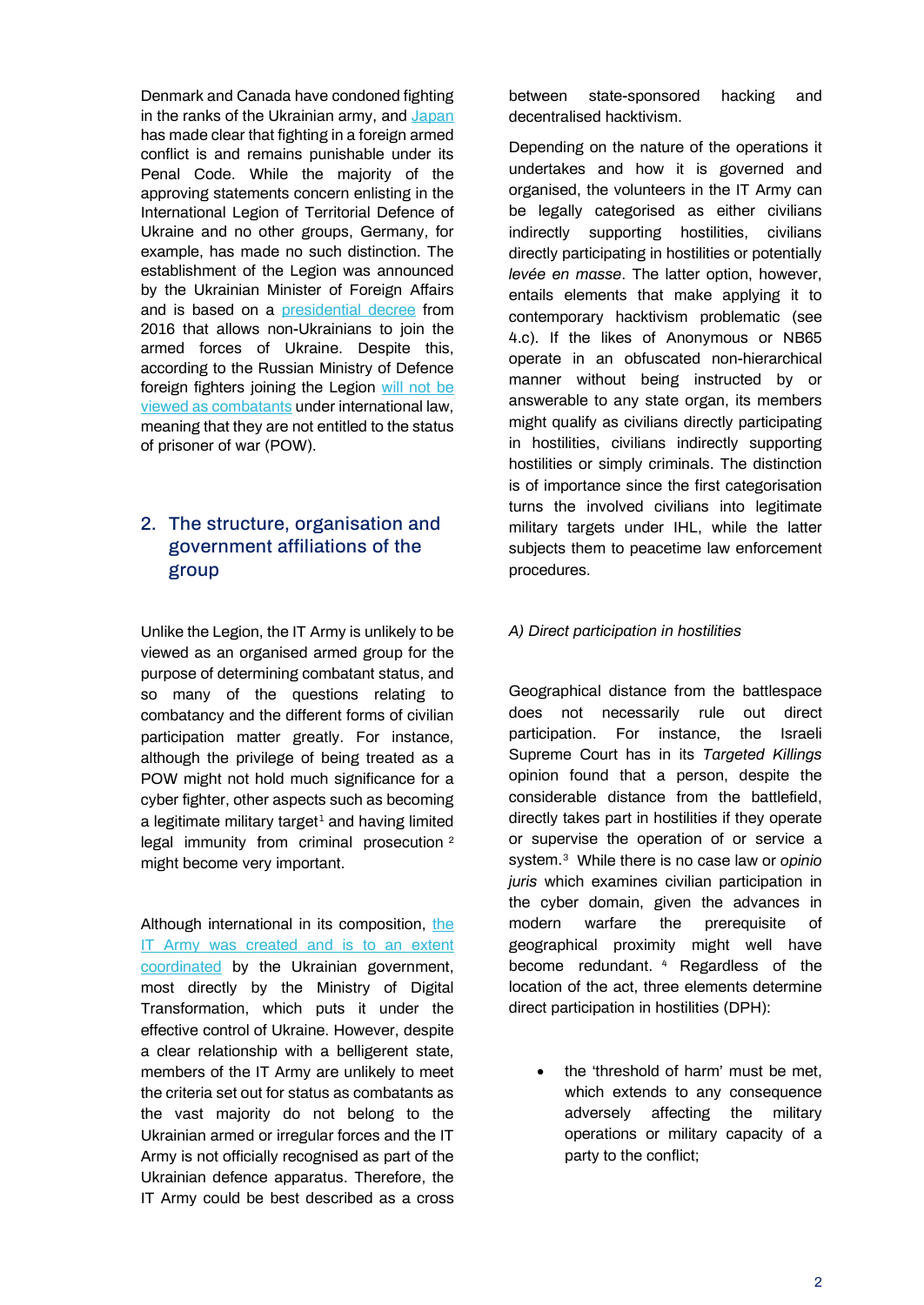Denmark and Canada have condoned fighting in the ranks of the Ukrainian army, and [Japan](https://www.sankei.com/article/20220302-AT3FEUJONFI25MM7GRPJPT3Q7Y/) has made clear that fighting in a foreign armed conflict is and remains punishable under its Penal Code. While the majority of the approving statements concern enlisting in the International Legion of Territorial Defence of Ukraine and no other groups, Germany, for example, has made no such distinction. The establishment of the Legion was announced by the Ukrainian Minister of Foreign Affairs and is based on a [presidential decree](https://zakon.rada.gov.ua/laws/show/248/2016#Text) from 2016 that allows non-Ukrainians to join the armed forces of Ukraine. Despite this, according to the Russian Ministry of Defence foreign fighters joining the Legion [will not be](https://tass.ru/armiya-i-opk/13952419?utm_source=yandex.ru&utm_medium=organic&utm_campaign=yandex.ru&utm_referrer=yandex.ru)  [viewed as combatants](https://tass.ru/armiya-i-opk/13952419?utm_source=yandex.ru&utm_medium=organic&utm_campaign=yandex.ru&utm_referrer=yandex.ru) under international law, meaning that they are not entitled to the status of prisoner of war (POW).

## 2. The structure, organisation and government affiliations of the group

Unlike the Legion, the IT Army is unlikely to be viewed as an organised armed group for the purpose of determining combatant status, and so many of the questions relating to combatancy and the different forms of civilian participation matter greatly. For instance, although the privilege of being treated as a POW might not hold much significance for a cyber fighter, other aspects such as becoming a legitimate military target<sup>[1](#page-5-0)</sup> and having limited legal immunity from criminal prosecution<sup>[2](#page-5-1)</sup> might become very important.

Although international in its composition, the [IT Army was created and is to an extent](https://twitter.com/FedorovMykhailo/status/1497642156076511233)  [coordinated](https://twitter.com/FedorovMykhailo/status/1497642156076511233) by the Ukrainian government, most directly by the Ministry of Digital Transformation, which puts it under the effective control of Ukraine. However, despite a clear relationship with a belligerent state, members of the IT Army are unlikely to meet the criteria set out for status as combatants as the vast majority do not belong to the Ukrainian armed or irregular forces and the IT Army is not officially recognised as part of the Ukrainian defence apparatus. Therefore, the IT Army could be best described as a cross

between state-sponsored hacking and decentralised hacktivism.

Depending on the nature of the operations it undertakes and how it is governed and organised, the volunteers in the IT Army can be legally categorised as either civilians indirectly supporting hostilities, civilians directly participating in hostilities or potentially *levée en masse*. The latter option, however, entails elements that make applying it to contemporary hacktivism problematic (see 4.c). If the likes of Anonymous or NB65 operate in an obfuscated non-hierarchical manner without being instructed by or answerable to any state organ, its members might qualify as civilians directly participating in hostilities, civilians indirectly supporting hostilities or simply criminals. The distinction is of importance since the first categorisation turns the involved civilians into legitimate military targets under IHL, while the latter subjects them to peacetime law enforcement procedures.

### *A) Direct participation in hostilities*

Geographical distance from the battlespace does not necessarily rule out direct participation. For instance, the Israeli Supreme Court has in its *Targeted Killings* opinion found that a person, despite the considerable distance from the battlefield, directly takes part in hostilities if they operate or supervise the operation of or service a system.[3](#page-5-2) While there is no case law or *opinio juris* which examines civilian participation in the cyber domain, given the advances in modern warfare the prerequisite of geographical proximity might well have become redundant. [4](#page-5-3) Regardless of the location of the act, three elements determine direct participation in hostilities (DPH):

• the 'threshold of harm' must be met, which extends to any consequence adversely affecting the military operations or military capacity of a party to the conflict;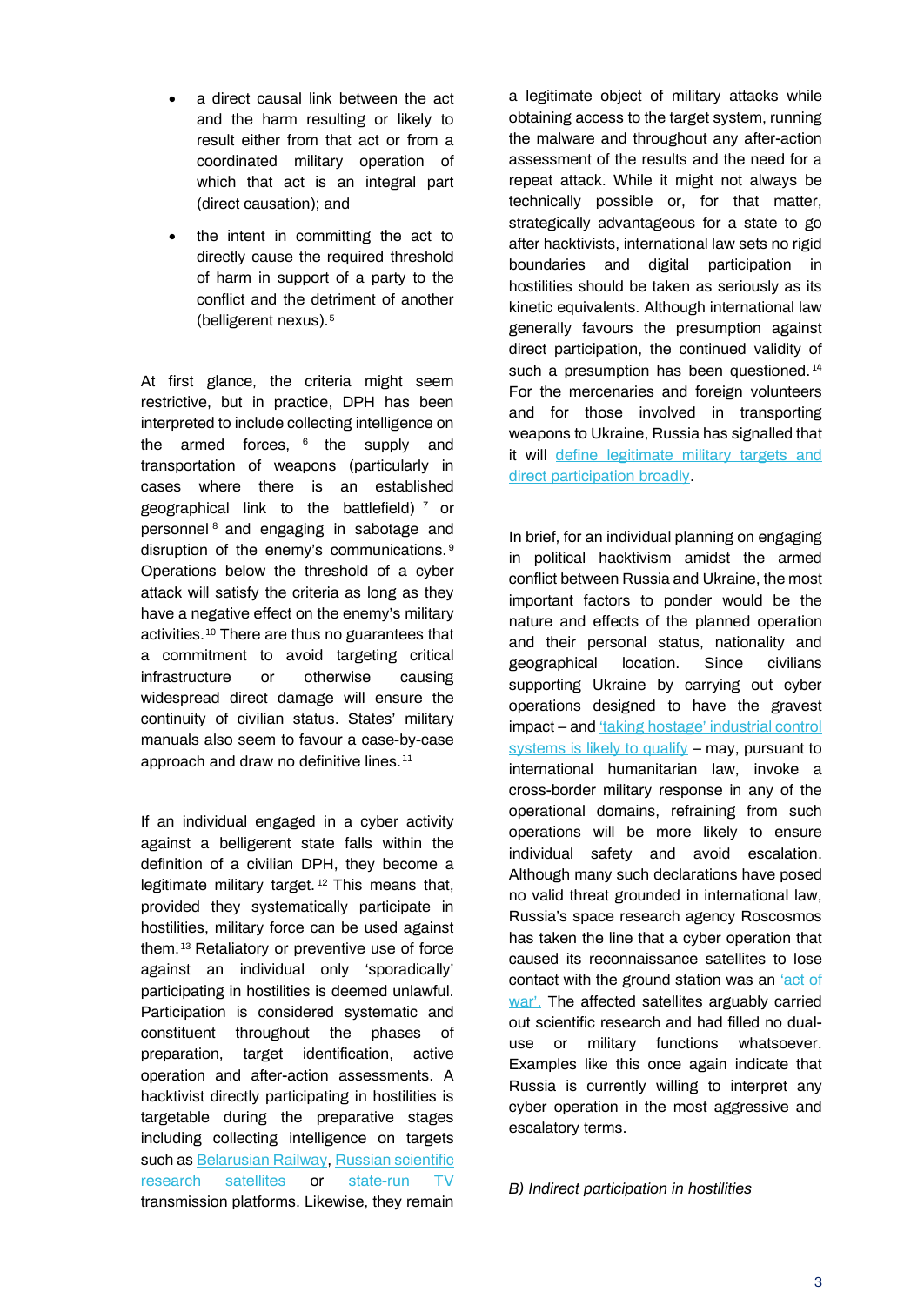- a direct causal link between the act and the harm resulting or likely to result either from that act or from a coordinated military operation of which that act is an integral part (direct causation); and
- the intent in committing the act to directly cause the required threshold of harm in support of a party to the conflict and the detriment of another (belligerent nexus).[5](#page-5-4)

At first glance, the criteria might seem restrictive, but in practice, DPH has been interpreted to include collecting intelligence on the armed forces,  $6$  the supply and transportation of weapons (particularly in cases where there is an established geographical link to the battlefield)  $<sup>7</sup>$  $<sup>7</sup>$  $<sup>7</sup>$  or</sup> personnel [8](#page-5-7) and engaging in sabotage and disruption of the enemy's communications. [9](#page-5-8)  Operations below the threshold of a cyber attack will satisfy the criteria as long as they have a negative effect on the enemy's military activities.[10](#page-5-2) There are thus no guarantees that a commitment to avoid targeting critical infrastructure or otherwise causing widespread direct damage will ensure the continuity of civilian status. States' military manuals also seem to favour a case-by-case approach and draw no definitive lines.<sup>[11](#page-5-9)</sup>

If an individual engaged in a cyber activity against a belligerent state falls within the definition of a civilian DPH, they become a legitimate military target. [12](#page-5-3) This means that, provided they systematically participate in hostilities, military force can be used against them.[13](#page-5-10) Retaliatory or preventive use of force against an individual only 'sporadically' participating in hostilities is deemed unlawful. Participation is considered systematic and constituent throughout the phases of preparation, target identification, active operation and after-action assessments. A hacktivist directly participating in hostilities is targetable during the preparative stages including collecting intelligence on targets such a[s Belarusian Railway,](https://www.theguardian.com/world/2022/jan/25/cyberpartisans-hack-belarusian-railway-to-disrupt-russian-buildup) Russian scientific [research satellites](https://securityaffairs.co/wordpress/128608/cyber-warfare-2/a-cyberattack-on-russian-satellites-is-an-act-of-war-the-invasion-of-ukraine-no.html) or [state-run TV](https://fortune.com/2022/03/07/anonymous-claims-hack-of-russian-tvs-showing-putins-ukraine-invasion/) transmission platforms. Likewise, they remain

a legitimate object of military attacks while obtaining access to the target system, running the malware and throughout any after-action assessment of the results and the need for a repeat attack. While it might not always be technically possible or, for that matter, strategically advantageous for a state to go after hacktivists, international law sets no rigid boundaries and digital participation in hostilities should be taken as seriously as its kinetic equivalents. Although international law generally favours the presumption against direct participation, the continued validity of such a presumption has been questioned.<sup>[14](#page-5-11)</sup> For the mercenaries and foreign volunteers and for those involved in transporting weapons to Ukraine, Russia has signalled that it will [define legitimate military targets and](https://tass.ru/armiya-i-opk/13952419?utm_source=yandex.ru&utm_medium=organic&utm_campaign=yandex.ru&utm_referrer=yandex.ru)  [direct participation broadly.](https://tass.ru/armiya-i-opk/13952419?utm_source=yandex.ru&utm_medium=organic&utm_campaign=yandex.ru&utm_referrer=yandex.ru)

In brief, for an individual planning on engaging in political hacktivism amidst the armed conflict between Russia and Ukraine, the most important factors to ponder would be the nature and effects of the planned operation and their personal status, nationality and geographical location. Since civilians supporting Ukraine by carrying out cyber operations designed to have the gravest impact – an[d 'taking hostage' industrial control](https://twitter.com/YourAnonTV)  [systems is likely to qualify](https://twitter.com/YourAnonTV) – may, pursuant to international humanitarian law, invoke a cross-border military response in any of the operational domains, refraining from such operations will be more likely to ensure individual safety and avoid escalation. Although many such declarations have posed no valid threat grounded in international law, Russia's space research agency Roscosmos has taken the line that a cyber operation that caused its reconnaissance satellites to lose contact with the ground station was an ['act of](https://securityaffairs.co/wordpress/128608/cyber-warfare-2/a-cyberattack-on-russian-satellites-is-an-act-of-war-the-invasion-of-ukraine-no.html)  [war'.](https://securityaffairs.co/wordpress/128608/cyber-warfare-2/a-cyberattack-on-russian-satellites-is-an-act-of-war-the-invasion-of-ukraine-no.html) The affected satellites arguably carried out scientific research and had filled no dualuse or military functions whatsoever. Examples like this once again indicate that Russia is currently willing to interpret any cyber operation in the most aggressive and escalatory terms.

#### *B) Indirect participation in hostilities*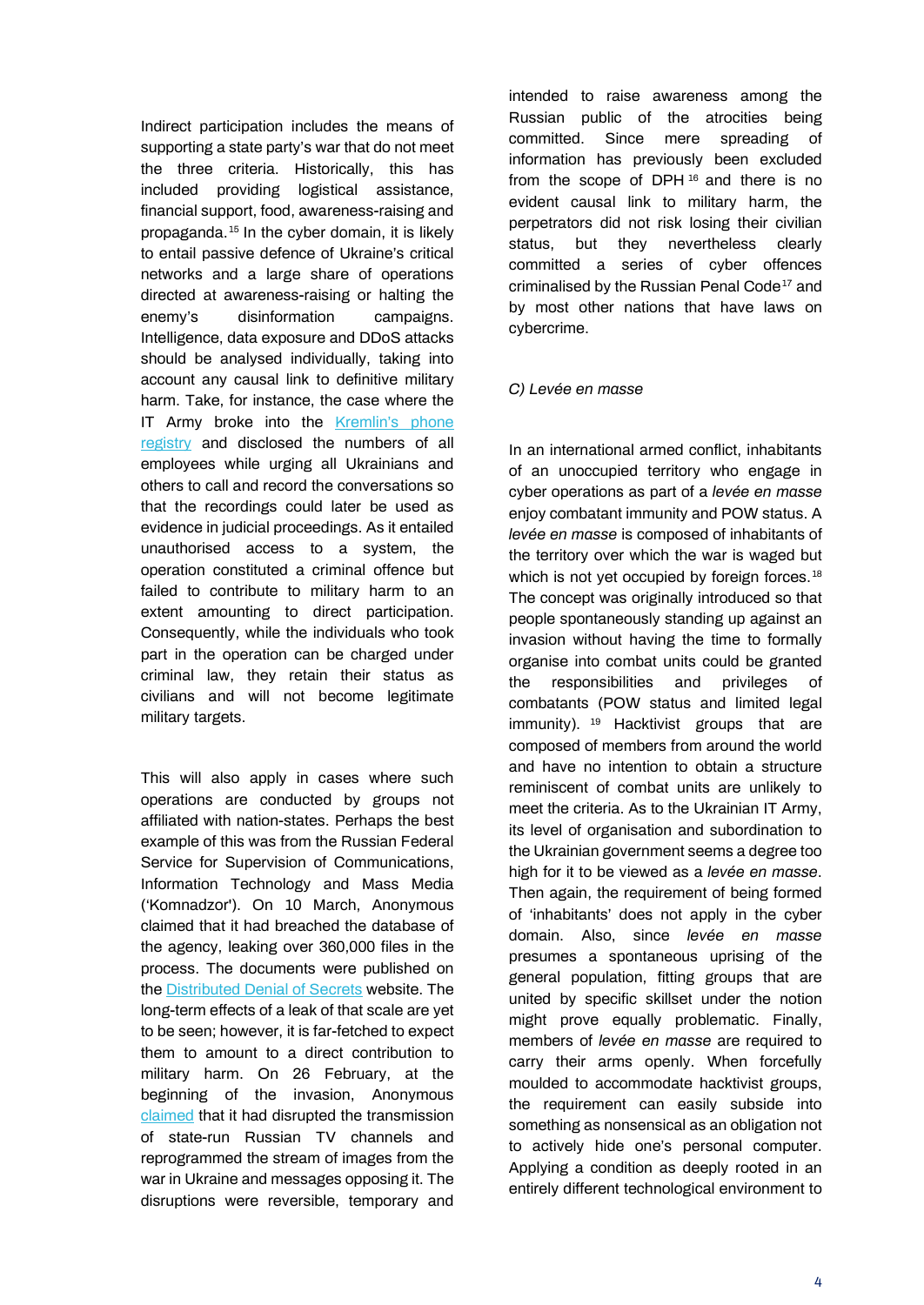Indirect participation includes the means of supporting a state party's war that do not meet the three criteria. Historically, this has included providing logistical assistance, financial support, food, awareness-raising and propaganda.[15](#page-5-4) In the cyber domain, it is likely to entail passive defence of Ukraine's critical networks and a large share of operations directed at awareness-raising or halting the enemy's disinformation campaigns. Intelligence, data exposure and DDoS attacks should be analysed individually, taking into account any causal link to definitive military harm. Take, for instance, the case where the IT Army broke into the Kremlin's phone [registry](https://ukranews.com/en/news/837544-ukrainian-cyber-troopers-hack-kremlin-s-website-phone-database-now-available-ministry-of-interior) and disclosed the numbers of all employees while urging all Ukrainians and others to call and record the conversations so that the recordings could later be used as evidence in judicial proceedings. As it entailed unauthorised access to a system, the operation constituted a criminal offence but failed to contribute to military harm to an extent amounting to direct participation. Consequently, while the individuals who took part in the operation can be charged under criminal law, they retain their status as civilians and will not become legitimate military targets.

This will also apply in cases where such operations are conducted by groups not affiliated with nation-states. Perhaps the best example of this was from the Russian Federal Service for Supervision of Communications, Information Technology and Mass Media ('Komnadzor'). On 10 March, Anonymous claimed that it had breached the database of the agency, leaking over 360,000 files in the process. The documents were published on the [Distributed Denial of Secrets](https://ddosecrets.substack.com/p/release-roskomnadzor-820-gb?s=r) website. The long-term effects of a leak of that scale are yet to be seen; however, it is far-fetched to expect them to amount to a direct contribution to military harm. On 26 February, at the beginning of the invasion, Anonymous [claimed](https://twitter.com/YourAnonNews/status/1500613013510008836) that it had disrupted the transmission of state-run Russian TV channels and reprogrammed the stream of images from the war in Ukraine and messages opposing it. The disruptions were reversible, temporary and

intended to raise awareness among the Russian public of the atrocities being committed. Since mere spreading of information has previously been excluded from the scope of DPH $16$  and there is no evident causal link to military harm, the perpetrators did not risk losing their civilian status, but they nevertheless clearly committed a series of cyber offences criminalised by the Russian Penal Code<sup>[17](#page-5-5)</sup> and by most other nations that have laws on cybercrime.

#### *C) Levée en masse*

In an international armed conflict, inhabitants of an unoccupied territory who engage in cyber operations as part of a *levée en masse* enjoy combatant immunity and POW status. A *levée en masse* is composed of inhabitants of the territory over which the war is waged but which is not yet occupied by foreign forces.<sup>[18](#page-5-13)</sup> The concept was originally introduced so that people spontaneously standing up against an invasion without having the time to formally organise into combat units could be granted the responsibilities and privileges of combatants (POW status and limited legal immunity). <sup>[19](#page-5-7)</sup> Hacktivist groups that are composed of members from around the world and have no intention to obtain a structure reminiscent of combat units are unlikely to meet the criteria. As to the Ukrainian IT Army, its level of organisation and subordination to the Ukrainian government seems a degree too high for it to be viewed as a *levée en masse*. Then again, the requirement of being formed of 'inhabitants' does not apply in the cyber domain. Also, since *levée en masse* presumes a spontaneous uprising of the general population, fitting groups that are united by specific skillset under the notion might prove equally problematic. Finally, members of *levée en masse* are required to carry their arms openly. When forcefully moulded to accommodate hacktivist groups, the requirement can easily subside into something as nonsensical as an obligation not to actively hide one's personal computer. Applying a condition as deeply rooted in an entirely different technological environment to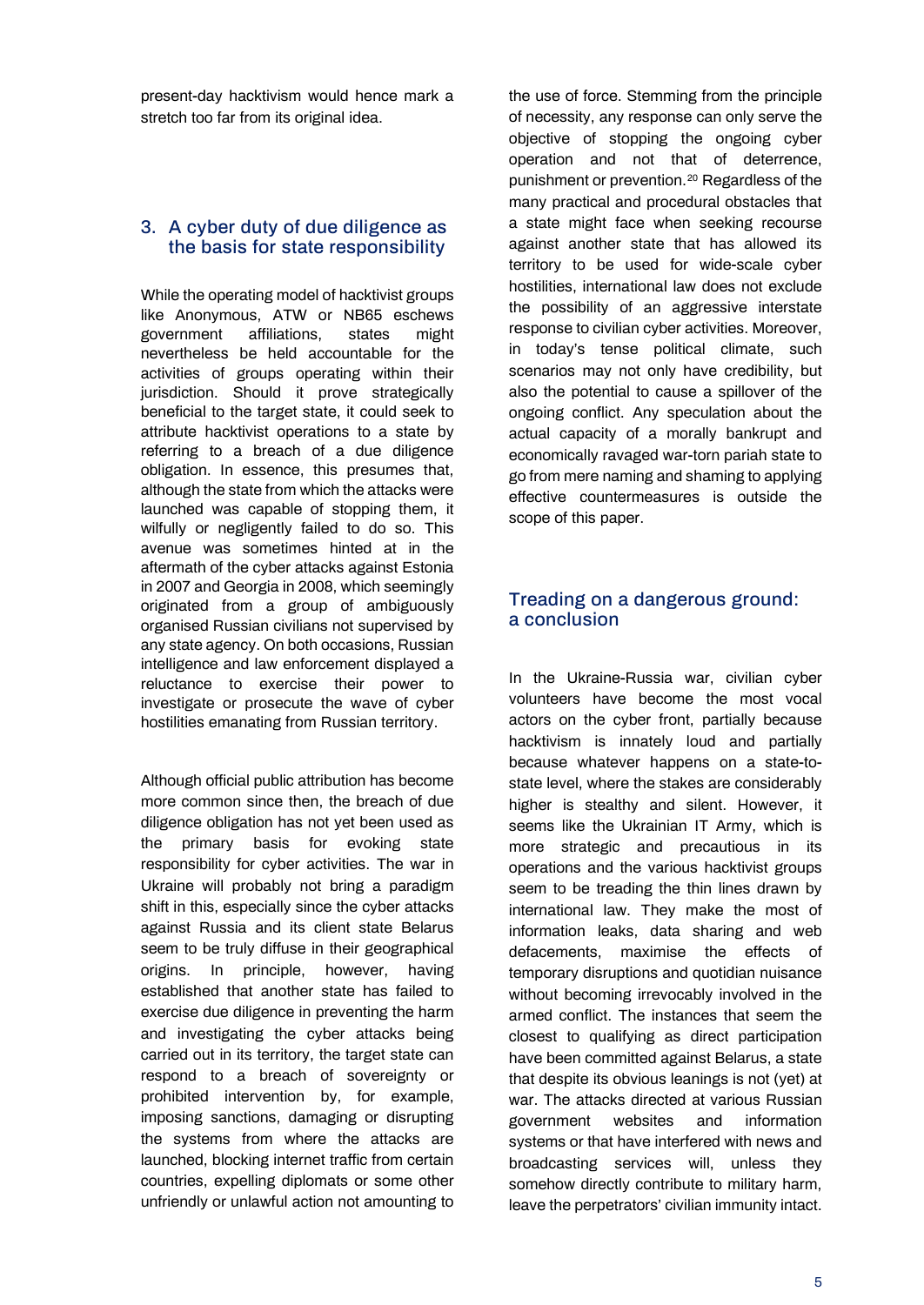present-day hacktivism would hence mark a stretch too far from its original idea.

## 3. A cyber duty of due diligence as the basis for state responsibility

While the operating model of hacktivist groups like Anonymous, ATW or NB65 eschews government affiliations, states might nevertheless be held accountable for the activities of groups operating within their jurisdiction. Should it prove strategically beneficial to the target state, it could seek to attribute hacktivist operations to a state by referring to a breach of a due diligence obligation. In essence, this presumes that, although the state from which the attacks were launched was capable of stopping them, it wilfully or negligently failed to do so. This avenue was sometimes hinted at in the aftermath of the cyber attacks against Estonia in 2007 and Georgia in 2008, which seemingly originated from a group of ambiguously organised Russian civilians not supervised by any state agency. On both occasions, Russian intelligence and law enforcement displayed a reluctance to exercise their power to investigate or prosecute the wave of cyber hostilities emanating from Russian territory.

Although official public attribution has become more common since then, the breach of due diligence obligation has not yet been used as the primary basis for evoking state responsibility for cyber activities. The war in Ukraine will probably not bring a paradigm shift in this, especially since the cyber attacks against Russia and its client state Belarus seem to be truly diffuse in their geographical origins. In principle, however, having established that another state has failed to exercise due diligence in preventing the harm and investigating the cyber attacks being carried out in its territory, the target state can respond to a breach of sovereignty or prohibited intervention by, for example, imposing sanctions, damaging or disrupting the systems from where the attacks are launched, blocking internet traffic from certain countries, expelling diplomats or some other unfriendly or unlawful action not amounting to

the use of force. Stemming from the principle of necessity, any response can only serve the objective of stopping the ongoing cyber operation and not that of deterrence, punishment or prevention.[20](#page-5-8) Regardless of the many practical and procedural obstacles that a state might face when seeking recourse against another state that has allowed its territory to be used for wide-scale cyber hostilities, international law does not exclude the possibility of an aggressive interstate response to civilian cyber activities. Moreover, in today's tense political climate, such scenarios may not only have credibility, but also the potential to cause a spillover of the ongoing conflict. Any speculation about the actual capacity of a morally bankrupt and economically ravaged war-torn pariah state to go from mere naming and shaming to applying effective countermeasures is outside the scope of this paper.

## Treading on a dangerous ground: a conclusion

In the Ukraine-Russia war, civilian cyber volunteers have become the most vocal actors on the cyber front, partially because hacktivism is innately loud and partially because whatever happens on a state-tostate level, where the stakes are considerably higher is stealthy and silent. However, it seems like the Ukrainian IT Army, which is more strategic and precautious in its operations and the various hacktivist groups seem to be treading the thin lines drawn by international law. They make the most of information leaks, data sharing and web defacements, maximise the effects of temporary disruptions and quotidian nuisance without becoming irrevocably involved in the armed conflict. The instances that seem the closest to qualifying as direct participation have been committed against Belarus, a state that despite its obvious leanings is not (yet) at war. The attacks directed at various Russian government websites and information systems or that have interfered with news and broadcasting services will, unless they somehow directly contribute to military harm, leave the perpetrators' civilian immunity intact.